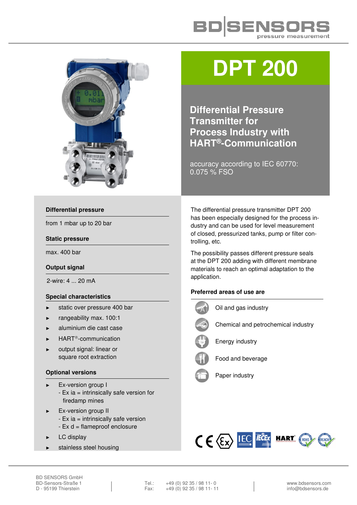



# **DPT 200**

**Differential Pressure Transmitter for Process Industry with HART®-Communication** 

accuracy according to IEC 60770: 0.075 % FSO

#### **Differential pressure**

from 1 mbar up to 20 bar

#### **Static pressure**

max. 400 bar

#### **Output signal**

2-wire: 4 ... 20 mA

#### **Special characteristics**

- static over pressure 400 bar
- ► rangeability max. 100:1
- aluminium die cast case
- HART<sup>®</sup>-communication
- output signal: linear or square root extraction

## **Optional versions**

- Ex-version group I
	- Ex ia = intrinsically safe version for firedamp mines
- Ex-version group II - Ex ia = intrinsically safe version - Ex d = flameproof enclosure
- LC display
- stainless steel housing

The differential pressure transmitter DPT 200 has been especially designed for the process industry and can be used for level measurement of closed, pressurized tanks, pump or filter controlling, etc.

The possibility passes different pressure seals at the DPT 200 adding with different membrane materials to reach an optimal adaptation to the application.

## **Preferred areas of use are**

Oil and gas industry Chemical and petrochemical industry Energy industry Food and beverage Paper industry

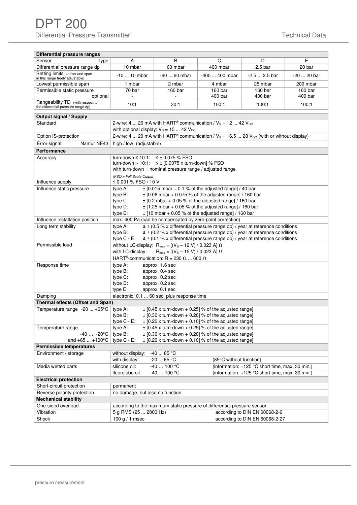| Differential pressure ranges                                            |                                                                                                                                                                                                                                                                                                                                                                        |                                                                                             |                                                                                                                                                                                  |                                                                                                    |                    |
|-------------------------------------------------------------------------|------------------------------------------------------------------------------------------------------------------------------------------------------------------------------------------------------------------------------------------------------------------------------------------------------------------------------------------------------------------------|---------------------------------------------------------------------------------------------|----------------------------------------------------------------------------------------------------------------------------------------------------------------------------------|----------------------------------------------------------------------------------------------------|--------------------|
| Sensor<br>type                                                          | A                                                                                                                                                                                                                                                                                                                                                                      | B                                                                                           | C                                                                                                                                                                                | D                                                                                                  | E                  |
| Differential pressure range dp                                          | 10 mbar                                                                                                                                                                                                                                                                                                                                                                | 60 mbar                                                                                     | 400 mbar                                                                                                                                                                         | 2.5 <sub>bar</sub>                                                                                 | 20 bar             |
| Setting limits (offset and span<br>in this range freely adjustable)     | $-1010$ mbar                                                                                                                                                                                                                                                                                                                                                           | $-6060$ mbar                                                                                | -400  400 mbar                                                                                                                                                                   | $-2.5$ 2.5 bar                                                                                     | -20  20 bar        |
| Lowest permissible span                                                 | 1 mbar                                                                                                                                                                                                                                                                                                                                                                 | 2 mbar                                                                                      | 4 mbar                                                                                                                                                                           | 25 mbar                                                                                            | 200 mbar           |
| Permissible static pressure<br>optional                                 | 70 bar<br>$\overline{a}$                                                                                                                                                                                                                                                                                                                                               | 160 bar<br>ä,                                                                               | 160 bar<br>400 bar                                                                                                                                                               | 160 bar<br>400 bar                                                                                 | 160 bar<br>400 bar |
| Rangeability TD (with respect to<br>the differential pressure range dp) | 10:1                                                                                                                                                                                                                                                                                                                                                                   | 30:1                                                                                        | 100:1                                                                                                                                                                            | 100:1                                                                                              | 100:1              |
| Output signal / Supply                                                  |                                                                                                                                                                                                                                                                                                                                                                        |                                                                                             |                                                                                                                                                                                  |                                                                                                    |                    |
| Standard                                                                | 2-wire: 4  20 mA with HART <sup>®</sup> communication / $V_s$ = 12  42 $V_{DC}$<br>with optional display: $V_s = 15  42 V_{DC}$                                                                                                                                                                                                                                        |                                                                                             |                                                                                                                                                                                  |                                                                                                    |                    |
| Option IS-protection                                                    |                                                                                                                                                                                                                                                                                                                                                                        |                                                                                             | 2-wire: 4  20 mA with HART® communication / $V_s$ = 16.5  28 $V_{DC}$ (with or without display)                                                                                  |                                                                                                    |                    |
| Error signal<br>Namur NE43                                              | high / low (adjustable)                                                                                                                                                                                                                                                                                                                                                |                                                                                             |                                                                                                                                                                                  |                                                                                                    |                    |
| <b>Performance</b>                                                      |                                                                                                                                                                                                                                                                                                                                                                        |                                                                                             |                                                                                                                                                                                  |                                                                                                    |                    |
| Accuracy                                                                | turn-down ≤ 10:1: $\leq \pm 0.075$ % FSO<br>turn-down > 10:1: $\leq \pm$ [0.0075 x turn-down] % FSO<br>with turn-down = nominal pressure range / adjusted range<br>(FSO = Full Scale Output)                                                                                                                                                                           |                                                                                             |                                                                                                                                                                                  |                                                                                                    |                    |
| Influence supply                                                        | ≤ 0.001 % FSO / 10 V                                                                                                                                                                                                                                                                                                                                                   |                                                                                             |                                                                                                                                                                                  |                                                                                                    |                    |
| Influence static pressure                                               | $\pm$ [0.015 mbar + 0.1 % of the adjusted range] / 40 bar<br>type A:<br>type B:<br>$\pm$ [0.06 mbar + 0.075 % of the adjusted range] / 160 bar<br>type C:<br>$\pm$ [0.2 mbar + 0.05 % of the adjusted range] / 160 bar<br>type D:<br>$\pm$ [1.25 mbar + 0.05 % of the adjusted range] / 160 bar<br>type E:<br>$\pm$ [10 mbar + 0.05 % of the adjusted range] / 160 bar |                                                                                             |                                                                                                                                                                                  |                                                                                                    |                    |
| Influence installation position                                         |                                                                                                                                                                                                                                                                                                                                                                        |                                                                                             | max. 400 Pa (can be compensated by zero-point correction)                                                                                                                        |                                                                                                    |                    |
| Long term stability                                                     | $\leq \pm$ (0.5 % x differential pressure range dp) / year at reference conditions<br>type A:<br>type B:<br>$\leq \pm$ (0.2 % x differential pressure range dp) / year at reference conditions<br>type $C - E$ :<br>$\leq \pm$ (0.1 % x differential pressure range dp) / year at reference conditions                                                                 |                                                                                             |                                                                                                                                                                                  |                                                                                                    |                    |
| Permissible load                                                        | without LC-display: $R_{max} = [(V_s - 12 V) / 0.023 A] \Omega$<br>with LC-display:<br>$R_{max} = [(V_s - 15 V) / 0.023 A] \Omega$<br>HART <sup>®</sup> -communication: R = 230 $\Omega$ 600 $\Omega$                                                                                                                                                                  |                                                                                             |                                                                                                                                                                                  |                                                                                                    |                    |
| Response time                                                           | type A:<br>type B:<br>type C:<br>type D:<br>type E:                                                                                                                                                                                                                                                                                                                    | approx. 1.6 sec<br>approx. 0.4 sec<br>approx. 0.2 sec<br>approx. 0.2 sec<br>approx. 0.1 sec |                                                                                                                                                                                  |                                                                                                    |                    |
| Damping                                                                 | electronic: 0.1  60 sec plus response time                                                                                                                                                                                                                                                                                                                             |                                                                                             |                                                                                                                                                                                  |                                                                                                    |                    |
| Thermal effects (Offset and Span)                                       |                                                                                                                                                                                                                                                                                                                                                                        |                                                                                             |                                                                                                                                                                                  |                                                                                                    |                    |
| Temperature range -20  +65°C                                            | type A:<br>type $B$ :<br>type $C - E$ :                                                                                                                                                                                                                                                                                                                                |                                                                                             | $\pm$ [0.45 x turn-down + 0.25] % of the adjusted range]<br>$\pm$ [0.30 x turn-down + 0.20] % of the adjusted range]<br>$\pm$ [0.20 x turn-down + 0.10] % of the adjusted range] |                                                                                                    |                    |
| Temperature range                                                       | type A:                                                                                                                                                                                                                                                                                                                                                                |                                                                                             | $\pm$ [0.45 x turn-down + 0.25] % of the adjusted range]                                                                                                                         |                                                                                                    |                    |
| $-40 -20$ °C                                                            | type B:                                                                                                                                                                                                                                                                                                                                                                |                                                                                             | $\pm$ [0.30 x turn-down + 0.20] % of the adjusted range]                                                                                                                         |                                                                                                    |                    |
| and +65  +100°C                                                         | type $C - E$ :                                                                                                                                                                                                                                                                                                                                                         |                                                                                             | $\pm$ [0.20 x turn-down + 0.10] % of the adjusted range]                                                                                                                         |                                                                                                    |                    |
| Permissible temperatures<br>Environment / storage                       | without display:                                                                                                                                                                                                                                                                                                                                                       | -40  85 °C                                                                                  |                                                                                                                                                                                  |                                                                                                    |                    |
|                                                                         | with display:                                                                                                                                                                                                                                                                                                                                                          | $-20$ 65 °C                                                                                 | (85°C without function)                                                                                                                                                          |                                                                                                    |                    |
| Media wetted parts                                                      | silicone oil:<br>fluorolube oil:                                                                                                                                                                                                                                                                                                                                       | -40  100 °C<br>$-40100$ °C                                                                  |                                                                                                                                                                                  | (information: +125 °C short time, max. 30 min.)<br>(information: +125 °C short time, max. 30 min.) |                    |
| <b>Electrical protection</b>                                            |                                                                                                                                                                                                                                                                                                                                                                        |                                                                                             |                                                                                                                                                                                  |                                                                                                    |                    |
| Short-circuit protection                                                | permanent                                                                                                                                                                                                                                                                                                                                                              |                                                                                             |                                                                                                                                                                                  |                                                                                                    |                    |
| Reverse polarity protection                                             | no damage, but also no function                                                                                                                                                                                                                                                                                                                                        |                                                                                             |                                                                                                                                                                                  |                                                                                                    |                    |
| <b>Mechanical stability</b>                                             |                                                                                                                                                                                                                                                                                                                                                                        |                                                                                             |                                                                                                                                                                                  |                                                                                                    |                    |
| One-sided overload                                                      |                                                                                                                                                                                                                                                                                                                                                                        |                                                                                             | according to the maximum static pressure of differential pressure sensor                                                                                                         |                                                                                                    |                    |
| Vibration                                                               | 5 g RMS (25  2000 Hz)                                                                                                                                                                                                                                                                                                                                                  |                                                                                             |                                                                                                                                                                                  | according to DIN EN 60068-2-6                                                                      |                    |
| Shock                                                                   | 100 g $/$ 1 msec                                                                                                                                                                                                                                                                                                                                                       |                                                                                             |                                                                                                                                                                                  | according to DIN EN 60068-2-27                                                                     |                    |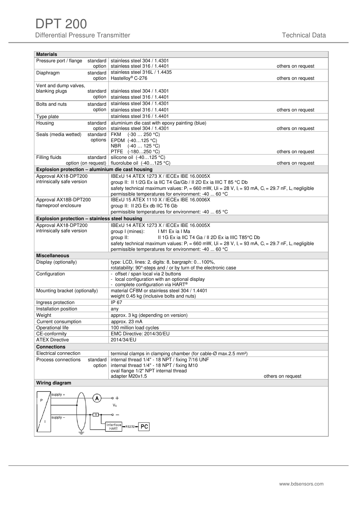# DPT 200 Differential Pressure Transmitter **Technical Data** Technical Data

| <b>Materials</b>                                  |                                                                                                                                                  |
|---------------------------------------------------|--------------------------------------------------------------------------------------------------------------------------------------------------|
| Pressure port / flange standard                   | stainless steel 304 / 1.4301                                                                                                                     |
| option                                            | stainless steel 316 / 1.4401<br>others on request                                                                                                |
| Diaphragm<br>standard                             | stainless steel 316L / 1.4435                                                                                                                    |
| option                                            | Hastelloy® C-276<br>others on request                                                                                                            |
| Vent and dump valves,                             |                                                                                                                                                  |
| blanking plugs<br>standard                        | stainless steel 304 / 1.4301                                                                                                                     |
| option                                            | stainless steel 316 / 1.4401                                                                                                                     |
| Bolts and nuts<br>standard                        | stainless steel 304 / 1.4301                                                                                                                     |
| option                                            | stainless steel 316 / 1.4401<br>others on request                                                                                                |
| Type plate                                        | stainless steel 316 / 1.4401                                                                                                                     |
| Housing<br>standard                               | aluminium die cast with epoxy painting (blue)                                                                                                    |
| option                                            | stainless steel 304 / 1.4301<br>others on request                                                                                                |
| Seals (media wetted)<br>standard                  | FKM (-30  250 °C)                                                                                                                                |
| options                                           | EPDM (-40125 °C)                                                                                                                                 |
|                                                   | <b>NBR</b><br>$(-40125 °C)$<br>PTFE (-180250 °C)<br>others on request                                                                            |
| Filling fluids<br>standard                        | silicone oil (-40125 °C)                                                                                                                         |
| option (on request)                               | fluorolube oil $(-40125 °C)$<br>others on request                                                                                                |
| Explosion protection - aluminium die cast housing |                                                                                                                                                  |
| Approval AX18-DPT200                              | IBExU 14 ATEX 1273 X / IECEx IBE 16.0005X                                                                                                        |
| intrinsically safe version                        | group II: II 1/2G Ex ia IIC T4 Ga/Gb / II 2D Ex ia IIIC T 85 °C Db                                                                               |
|                                                   | safety technical maximum values: $P_i = 660$ mW, Ui = 28 V, $I_i = 93$ mA, $C_i = 29.7$ nF, L <sub>i</sub> negligible                            |
|                                                   | permissible temperatures for environment: -40  60 °C                                                                                             |
| Approval AX18B-DPT200                             | <b>IBExU 15 ATEX 1110 X / IECEx IBE 16.0006X</b>                                                                                                 |
| flameproof enclosure                              | group II: II 2G Ex db IIC T6 Gb                                                                                                                  |
|                                                   | permissible temperatures for environment: -40  65 °C                                                                                             |
| Explosion protection - stainless steel housing    |                                                                                                                                                  |
| Approval AX18-DPT200                              | IBExU 14 ATEX 1273 X / IECEx IBE 16.0005X                                                                                                        |
| intrinsically safe version                        | group I (mines):<br>IM1 Exia I Ma                                                                                                                |
|                                                   | group II:<br>II 1G Ex ia IIC T4 Ga / II 2D Ex ia IIIC T85°C Db                                                                                   |
|                                                   | safety technical maximum values: P <sub>i</sub> = 660 mW, Ui = 28 V, I <sub>i</sub> = 93 mA, C <sub>i</sub> = 29.7 nF, L <sub>i</sub> negligible |
|                                                   | permissible temperatures for environment: -40  60 °C                                                                                             |
| <b>Miscellaneous</b>                              |                                                                                                                                                  |
| Display (optionally)                              | type: LCD, lines: 2, digits: 8, bargraph: 0100%,<br>rotatability: 90°-steps and / or by turn of the electronic case                              |
| Configuration                                     | - offset / span local via 2 buttons                                                                                                              |
|                                                   | - local configuration with an optional display                                                                                                   |
|                                                   | - complete configuration via HART®                                                                                                               |
| Mounting bracket (optionally)                     | material CF8M or stainless steel 304 / 1.4401                                                                                                    |
|                                                   | weight 0.45 kg (inclusive bolts and nuts)                                                                                                        |
| Ingress protection                                | IP 67                                                                                                                                            |
| Installation position                             | any                                                                                                                                              |
| Weight                                            | approx. 3 kg (depending on version)                                                                                                              |
| Current consumption                               | approx. 23 mA                                                                                                                                    |
| Operational life                                  | 100 million load cycles                                                                                                                          |
| CE-conformity<br><b>ATEX Directive</b>            | EMC Directive: 2014/30/EU<br>2014/34/EU                                                                                                          |
|                                                   |                                                                                                                                                  |
| <b>Connections</b>                                |                                                                                                                                                  |
| Electrical connection                             | terminal clamps in clamping chamber (for cable-Ø max.2.5 mm <sup>2</sup> )                                                                       |
| Process connections<br>standard<br>option         | internal thread 1/4" - 18 NPT / fixing 7/16 UNF<br>internal thread 1/4" - 18 NPT / fixing M10                                                    |
|                                                   | oval flange 1/2" NPT internal thread                                                                                                             |
|                                                   | adapter M20x1.5<br>others on request                                                                                                             |
| Wiring diagram                                    |                                                                                                                                                  |
| supply +<br>P<br>R<br>$supply -$                  | 。+<br>$V_{\rm S}$<br>Interface<br>$\rightarrow$ RS232 $\rightarrow$ PC<br><b>HART</b>                                                            |
|                                                   |                                                                                                                                                  |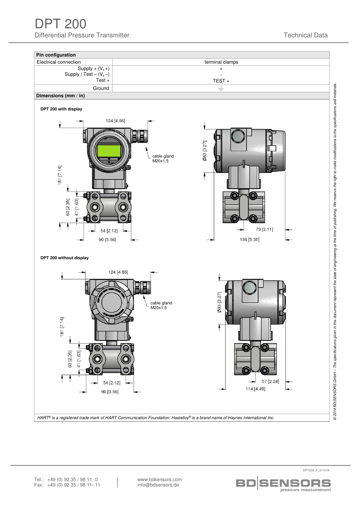DPT 200 Differential Pressure Transmitter **The Contract of Contract Contract Contract Contract Contract Data** 



HART<sup>®</sup> is a registered trade mark of HART Communication Foundation; Hastelloy® is a brand name of Haynes International Inc.

pressure measurement Fax: +49 (0) 92 35 / 98 11- 11 info@bdsensors.de Tel.: +49 (0) 92 35 / 98 11 - 0 www.bdsensors.com<br>Fax: +49 (0) 92 35 / 98 11 - 11 info@bdsensors.de